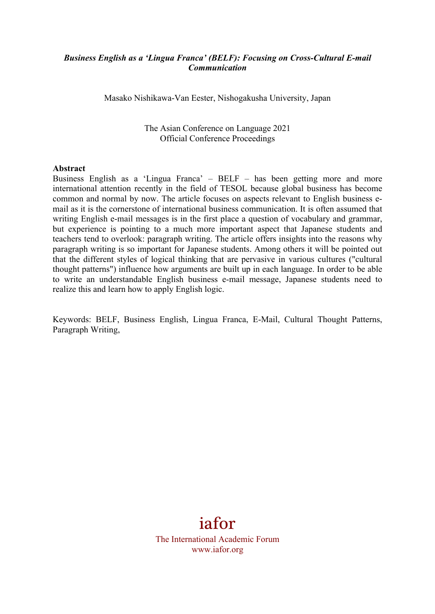#### *Business English as a 'Lingua Franca' (BELF): Focusing on Cross-Cultural E-mail Communication*

Masako Nishikawa-Van Eester, Nishogakusha University, Japan

The Asian Conference on Language 2021 Official Conference Proceedings

#### **Abstract**

Business English as a 'Lingua Franca' – BELF – has been getting more and more international attention recently in the field of TESOL because global business has become common and normal by now. The article focuses on aspects relevant to English business email as it is the cornerstone of international business communication. It is often assumed that writing English e-mail messages is in the first place a question of vocabulary and grammar, but experience is pointing to a much more important aspect that Japanese students and teachers tend to overlook: paragraph writing. The article offers insights into the reasons why paragraph writing is so important for Japanese students. Among others it will be pointed out that the different styles of logical thinking that are pervasive in various cultures ("cultural thought patterns") influence how arguments are built up in each language. In order to be able to write an understandable English business e-mail message, Japanese students need to realize this and learn how to apply English logic.

Keywords: BELF, Business English, Lingua Franca, E-Mail, Cultural Thought Patterns, Paragraph Writing,

# iafor

The International Academic Forum www.iafor.org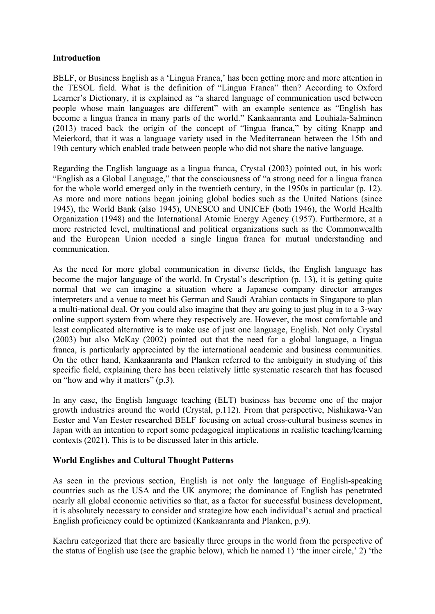#### **Introduction**

BELF, or Business English as a 'Lingua Franca,' has been getting more and more attention in the TESOL field. What is the definition of "Lingua Franca" then? According to Oxford Learner's Dictionary, it is explained as "a shared language of communication used between people whose main languages are different" with an example sentence as "English has become a lingua franca in many parts of the world." Kankaanranta and Louhiala-Salminen (2013) traced back the origin of the concept of "lingua franca," by citing Knapp and Meierkord, that it was a language variety used in the Mediterranean between the 15th and 19th century which enabled trade between people who did not share the native language.

Regarding the English language as a lingua franca, Crystal (2003) pointed out, in his work "English as a Global Language," that the consciousness of "a strong need for a lingua franca for the whole world emerged only in the twentieth century, in the 1950s in particular (p. 12). As more and more nations began joining global bodies such as the United Nations (since 1945), the World Bank (also 1945), UNESCO and UNICEF (both 1946), the World Health Organization (1948) and the International Atomic Energy Agency (1957). Furthermore, at a more restricted level, multinational and political organizations such as the Commonwealth and the European Union needed a single lingua franca for mutual understanding and communication.

As the need for more global communication in diverse fields, the English language has become the major language of the world. In Crystal's description (p. 13), it is getting quite normal that we can imagine a situation where a Japanese company director arranges interpreters and a venue to meet his German and Saudi Arabian contacts in Singapore to plan a multi-national deal. Or you could also imagine that they are going to just plug in to a 3-way online support system from where they respectively are. However, the most comfortable and least complicated alternative is to make use of just one language, English. Not only Crystal (2003) but also McKay (2002) pointed out that the need for a global language, a lingua franca, is particularly appreciated by the international academic and business communities. On the other hand, Kankaanranta and Planken referred to the ambiguity in studying of this specific field, explaining there has been relatively little systematic research that has focused on "how and why it matters" (p.3).

In any case, the English language teaching (ELT) business has become one of the major growth industries around the world (Crystal, p.112). From that perspective, Nishikawa-Van Eester and Van Eester researched BELF focusing on actual cross-cultural business scenes in Japan with an intention to report some pedagogical implications in realistic teaching/learning contexts (2021). This is to be discussed later in this article.

#### **World Englishes and Cultural Thought Patterns**

As seen in the previous section, English is not only the language of English-speaking countries such as the USA and the UK anymore; the dominance of English has penetrated nearly all global economic activities so that, as a factor for successful business development, it is absolutely necessary to consider and strategize how each individual's actual and practical English proficiency could be optimized (Kankaanranta and Planken, p.9).

Kachru categorized that there are basically three groups in the world from the perspective of the status of English use (see the graphic below), which he named 1) 'the inner circle,' 2) 'the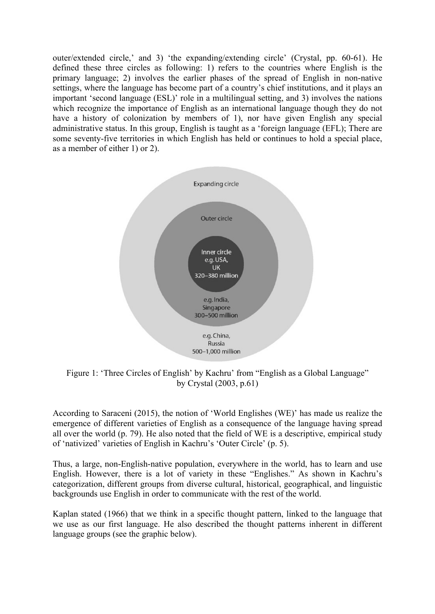outer/extended circle,' and 3) 'the expanding/extending circle' (Crystal, pp. 60-61). He defined these three circles as following: 1) refers to the countries where English is the primary language; 2) involves the earlier phases of the spread of English in non-native settings, where the language has become part of a country's chief institutions, and it plays an important 'second language (ESL)' role in a multilingual setting, and 3) involves the nations which recognize the importance of English as an international language though they do not have a history of colonization by members of 1), nor have given English any special administrative status. In this group, English is taught as a 'foreign language (EFL); There are some seventy-five territories in which English has held or continues to hold a special place, as a member of either 1) or 2).



Figure 1: 'Three Circles of English' by Kachru' from "English as a Global Language" by Crystal (2003, p.61)

According to Saraceni (2015), the notion of 'World Englishes (WE)' has made us realize the emergence of different varieties of English as a consequence of the language having spread all over the world (p. 79). He also noted that the field of WE is a descriptive, empirical study of 'nativized' varieties of English in Kachru's 'Outer Circle' (p. 5).

Thus, a large, non-English-native population, everywhere in the world, has to learn and use English. However, there is a lot of variety in these "Englishes." As shown in Kachru's categorization, different groups from diverse cultural, historical, geographical, and linguistic backgrounds use English in order to communicate with the rest of the world.

Kaplan stated (1966) that we think in a specific thought pattern, linked to the language that we use as our first language. He also described the thought patterns inherent in different language groups (see the graphic below).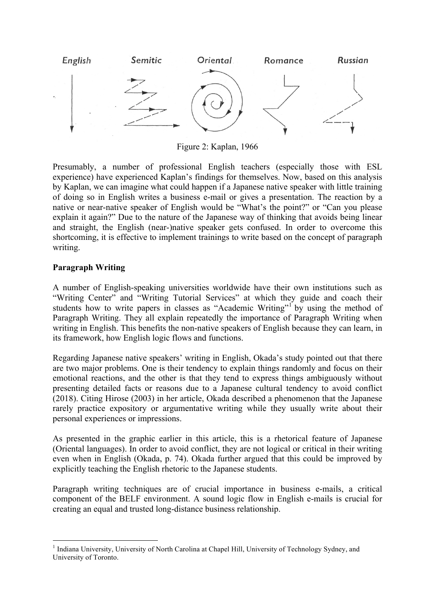

Figure 2: Kaplan, 1966

Presumably, a number of professional English teachers (especially those with ESL experience) have experienced Kaplan's findings for themselves. Now, based on this analysis by Kaplan, we can imagine what could happen if a Japanese native speaker with little training of doing so in English writes a business e-mail or gives a presentation. The reaction by a native or near-native speaker of English would be "What's the point?" or "Can you please explain it again?" Due to the nature of the Japanese way of thinking that avoids being linear and straight, the English (near-)native speaker gets confused. In order to overcome this shortcoming, it is effective to implement trainings to write based on the concept of paragraph writing.

## **Paragraph Writing**

 

A number of English-speaking universities worldwide have their own institutions such as "Writing Center" and "Writing Tutorial Services" at which they guide and coach their students how to write papers in classes as "Academic Writing" by using the method of Paragraph Writing. They all explain repeatedly the importance of Paragraph Writing when writing in English. This benefits the non-native speakers of English because they can learn, in its framework, how English logic flows and functions.

Regarding Japanese native speakers' writing in English, Okada's study pointed out that there are two major problems. One is their tendency to explain things randomly and focus on their emotional reactions, and the other is that they tend to express things ambiguously without presenting detailed facts or reasons due to a Japanese cultural tendency to avoid conflict (2018). Citing Hirose (2003) in her article, Okada described a phenomenon that the Japanese rarely practice expository or argumentative writing while they usually write about their personal experiences or impressions.

As presented in the graphic earlier in this article, this is a rhetorical feature of Japanese (Oriental languages). In order to avoid conflict, they are not logical or critical in their writing even when in English (Okada, p. 74). Okada further argued that this could be improved by explicitly teaching the English rhetoric to the Japanese students.

Paragraph writing techniques are of crucial importance in business e-mails, a critical component of the BELF environment. A sound logic flow in English e-mails is crucial for creating an equal and trusted long-distance business relationship.

<sup>&</sup>lt;sup>1</sup> Indiana University, University of North Carolina at Chapel Hill, University of Technology Sydney, and University of Toronto.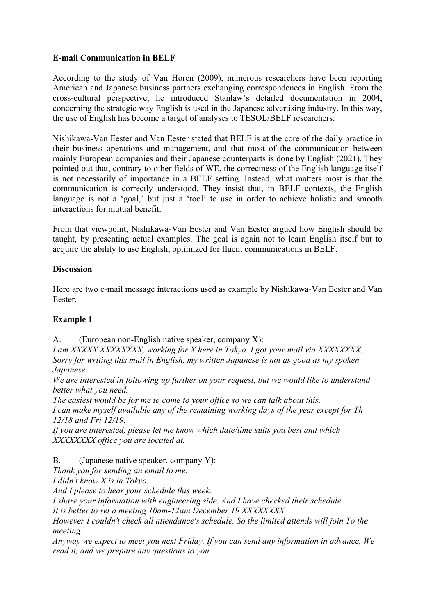## **E-mail Communication in BELF**

According to the study of Van Horen (2009), numerous researchers have been reporting American and Japanese business partners exchanging correspondences in English. From the cross-cultural perspective, he introduced Stanlaw's detailed documentation in 2004, concerning the strategic way English is used in the Japanese advertising industry. In this way, the use of English has become a target of analyses to TESOL/BELF researchers.

Nishikawa-Van Eester and Van Eester stated that BELF is at the core of the daily practice in their business operations and management, and that most of the communication between mainly European companies and their Japanese counterparts is done by English (2021). They pointed out that, contrary to other fields of WE, the correctness of the English language itself is not necessarily of importance in a BELF setting. Instead, what matters most is that the communication is correctly understood. They insist that, in BELF contexts, the English language is not a 'goal,' but just a 'tool' to use in order to achieve holistic and smooth interactions for mutual benefit.

From that viewpoint, Nishikawa-Van Eester and Van Eester argued how English should be taught, by presenting actual examples. The goal is again not to learn English itself but to acquire the ability to use English, optimized for fluent communications in BELF.

## **Discussion**

Here are two e-mail message interactions used as example by Nishikawa-Van Eester and Van Eester.

## **Example 1**

A. (European non-English native speaker, company X):

*I am XXXXX XXXXXXXX, working for X here in Tokyo. I got your mail via XXXXXXXX. Sorry for writing this mail in English, my written Japanese is not as good as my spoken Japanese.*

*We are interested in following up further on your request, but we would like to understand better what you need.*

*The easiest would be for me to come to your office so we can talk about this.*

*I can make myself available any of the remaining working days of the year except for Th 12/18 and Fri 12/19.*

*If you are interested, please let me know which date/time suits you best and which XXXXXXXX office you are located at.*

B. (Japanese native speaker, company Y):

*Thank you for sending an email to me.*

*I didn't know X is in Tokyo.*

*And I please to hear your schedule this week.* 

*I share your information with engineering side. And I have checked their schedule.*

*It is better to set a meeting 10am-12am December 19 XXXXXXXX*

*However I couldn't check all attendance's schedule. So the limited attends will join To the meeting.*

*Anyway we expect to meet you next Friday. If you can send any information in advance, We read it, and we prepare any questions to you.*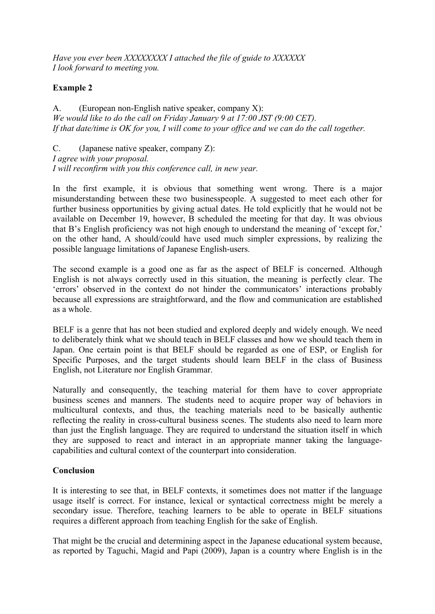*Have you ever been XXXXXXXX I attached the file of guide to XXXXXX I look forward to meeting you.*

## **Example 2**

A. (European non-English native speaker, company X): *We would like to do the call on Friday January 9 at 17:00 JST (9:00 CET). If that date/time is OK for you, I will come to your office and we can do the call together.*

C. (Japanese native speaker, company Z): *I agree with your proposal. I will reconfirm with you this conference call, in new year.*

In the first example, it is obvious that something went wrong. There is a major misunderstanding between these two businesspeople. A suggested to meet each other for further business opportunities by giving actual dates. He told explicitly that he would not be available on December 19, however, B scheduled the meeting for that day. It was obvious that B's English proficiency was not high enough to understand the meaning of 'except for,' on the other hand, A should/could have used much simpler expressions, by realizing the possible language limitations of Japanese English-users.

The second example is a good one as far as the aspect of BELF is concerned. Although English is not always correctly used in this situation, the meaning is perfectly clear. The 'errors' observed in the context do not hinder the communicators' interactions probably because all expressions are straightforward, and the flow and communication are established as a whole.

BELF is a genre that has not been studied and explored deeply and widely enough. We need to deliberately think what we should teach in BELF classes and how we should teach them in Japan. One certain point is that BELF should be regarded as one of ESP, or English for Specific Purposes, and the target students should learn BELF in the class of Business English, not Literature nor English Grammar.

Naturally and consequently, the teaching material for them have to cover appropriate business scenes and manners. The students need to acquire proper way of behaviors in multicultural contexts, and thus, the teaching materials need to be basically authentic reflecting the reality in cross-cultural business scenes. The students also need to learn more than just the English language. They are required to understand the situation itself in which they are supposed to react and interact in an appropriate manner taking the languagecapabilities and cultural context of the counterpart into consideration.

#### **Conclusion**

It is interesting to see that, in BELF contexts, it sometimes does not matter if the language usage itself is correct. For instance, lexical or syntactical correctness might be merely a secondary issue. Therefore, teaching learners to be able to operate in BELF situations requires a different approach from teaching English for the sake of English.

That might be the crucial and determining aspect in the Japanese educational system because, as reported by Taguchi, Magid and Papi (2009), Japan is a country where English is in the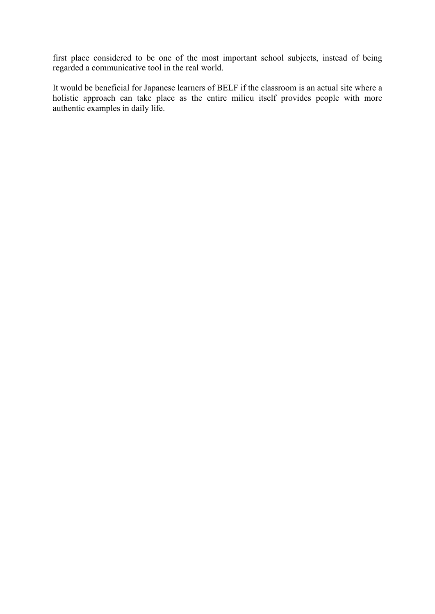first place considered to be one of the most important school subjects, instead of being regarded a communicative tool in the real world.

It would be beneficial for Japanese learners of BELF if the classroom is an actual site where a holistic approach can take place as the entire milieu itself provides people with more authentic examples in daily life.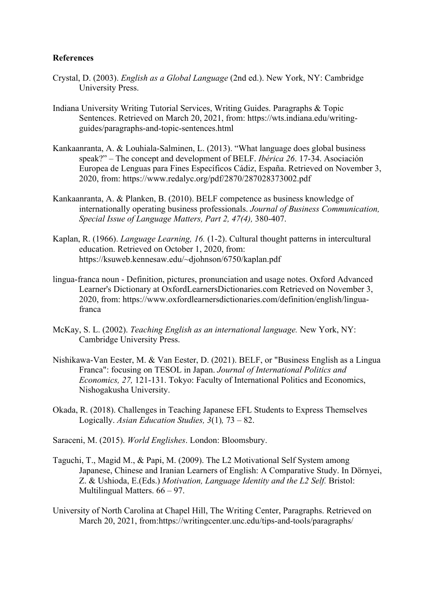#### **References**

- Crystal, D. (2003). *English as a Global Language* (2nd ed.). New York, NY: Cambridge University Press.
- Indiana University Writing Tutorial Services, Writing Guides. Paragraphs & Topic Sentences. Retrieved on March 20, 2021, from: https://wts.indiana.edu/writingguides/paragraphs-and-topic-sentences.html
- Kankaanranta, A. & Louhiala-Salminen, L. (2013). "What language does global business speak?" – The concept and development of BELF. *Ibérica 26*. 17-34. Asociación Europea de Lenguas para Fines Específicos Cádiz, España. Retrieved on November 3, 2020, from: https://www.redalyc.org/pdf/2870/287028373002.pdf
- Kankaanranta, A. & Planken, B. (2010). BELF competence as business knowledge of internationally operating business professionals. *Journal of Business Communication, Special Issue of Language Matters, Part 2, 47(4),* 380-407.
- Kaplan, R. (1966). *Language Learning, 16.* (1-2). Cultural thought patterns in intercultural education. Retrieved on October 1, 2020, from: https://ksuweb.kennesaw.edu/~djohnson/6750/kaplan.pdf
- lingua-franca noun Definition, pictures, pronunciation and usage notes. Oxford Advanced Learner's Dictionary at OxfordLearnersDictionaries.com Retrieved on November 3, 2020, from: https://www.oxfordlearnersdictionaries.com/definition/english/linguafranca
- McKay, S. L. (2002). *Teaching English as an international language.* New York, NY: Cambridge University Press.
- Nishikawa-Van Eester, M. & Van Eester, D. (2021). BELF, or "Business English as a Lingua Franca": focusing on TESOL in Japan. *Journal of International Politics and Economics, 27,* 121-131. Tokyo: Faculty of International Politics and Economics, Nishogakusha University.
- Okada, R. (2018). Challenges in Teaching Japanese EFL Students to Express Themselves Logically. *Asian Education Studies, 3*(1)*,* 73 – 82.
- Saraceni, M. (2015). *World Englishes*. London: Bloomsbury.
- Taguchi, T., Magid M., & Papi, M. (2009). The L2 Motivational Self System among Japanese, Chinese and Iranian Learners of English: A Comparative Study. In Dörnyei, Z. & Ushioda, E.(Eds.) *Motivation, Language Identity and the L2 Self.* Bristol: Multilingual Matters. 66 – 97.
- University of North Carolina at Chapel Hill, The Writing Center, Paragraphs. Retrieved on March 20, 2021, from:https://writingcenter.unc.edu/tips-and-tools/paragraphs/